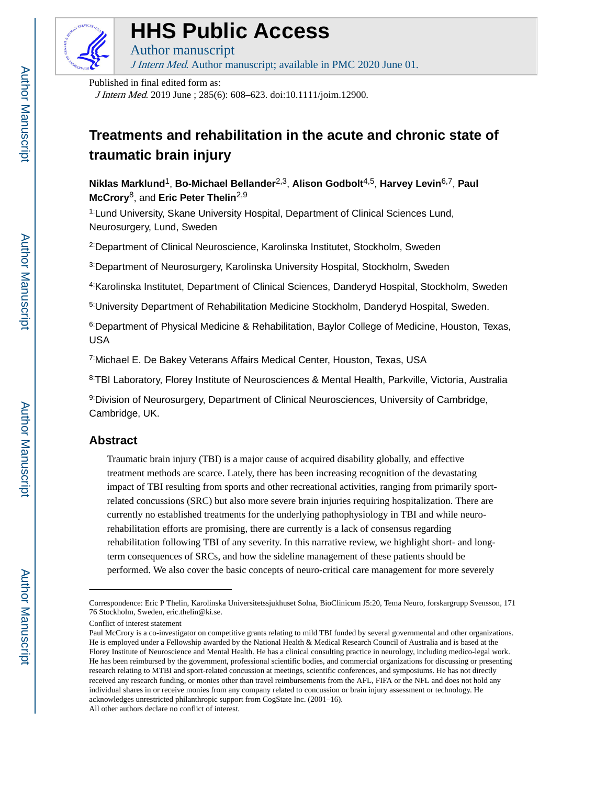

# **HHS Public Access**

Author manuscript J Intern Med. Author manuscript; available in PMC 2020 June 01.

Published in final edited form as:

J Intern Med. 2019 June ; 285(6): 608–623. doi:10.1111/joim.12900.

# **Treatments and rehabilitation in the acute and chronic state of traumatic brain injury**

**Niklas Marklund**1, **Bo-Michael Bellander**2,3, **Alison Godbolt**4,5, **Harvey Levin**6,7, **Paul McCrory**8, and **Eric Peter Thelin**2,9

1:Lund University, Skane University Hospital, Department of Clinical Sciences Lund, Neurosurgery, Lund, Sweden

2:Department of Clinical Neuroscience, Karolinska Institutet, Stockholm, Sweden

3:Department of Neurosurgery, Karolinska University Hospital, Stockholm, Sweden

4:Karolinska Institutet, Department of Clinical Sciences, Danderyd Hospital, Stockholm, Sweden

5:University Department of Rehabilitation Medicine Stockholm, Danderyd Hospital, Sweden.

6: Department of Physical Medicine & Rehabilitation, Baylor College of Medicine, Houston, Texas, USA

7:Michael E. De Bakey Veterans Affairs Medical Center, Houston, Texas, USA

8:TBI Laboratory, Florey Institute of Neurosciences & Mental Health, Parkville, Victoria, Australia

9: Division of Neurosurgery, Department of Clinical Neurosciences, University of Cambridge, Cambridge, UK.

## **Abstract**

Traumatic brain injury (TBI) is a major cause of acquired disability globally, and effective treatment methods are scarce. Lately, there has been increasing recognition of the devastating impact of TBI resulting from sports and other recreational activities, ranging from primarily sportrelated concussions (SRC) but also more severe brain injuries requiring hospitalization. There are currently no established treatments for the underlying pathophysiology in TBI and while neurorehabilitation efforts are promising, there are currently is a lack of consensus regarding rehabilitation following TBI of any severity. In this narrative review, we highlight short- and longterm consequences of SRCs, and how the sideline management of these patients should be performed. We also cover the basic concepts of neuro-critical care management for more severely

Correspondence: Eric P Thelin, Karolinska Universitetssjukhuset Solna, BioClinicum J5:20, Tema Neuro, forskargrupp Svensson, 171 76 Stockholm, Sweden, eric.thelin@ki.se.

Conflict of interest statement

Paul McCrory is a co-investigator on competitive grants relating to mild TBI funded by several governmental and other organizations. He is employed under a Fellowship awarded by the National Health & Medical Research Council of Australia and is based at the Florey Institute of Neuroscience and Mental Health. He has a clinical consulting practice in neurology, including medico-legal work. He has been reimbursed by the government, professional scientific bodies, and commercial organizations for discussing or presenting research relating to MTBI and sport-related concussion at meetings, scientific conferences, and symposiums. He has not directly received any research funding, or monies other than travel reimbursements from the AFL, FIFA or the NFL and does not hold any individual shares in or receive monies from any company related to concussion or brain injury assessment or technology. He acknowledges unrestricted philanthropic support from CogState Inc. (2001–16). All other authors declare no conflict of interest.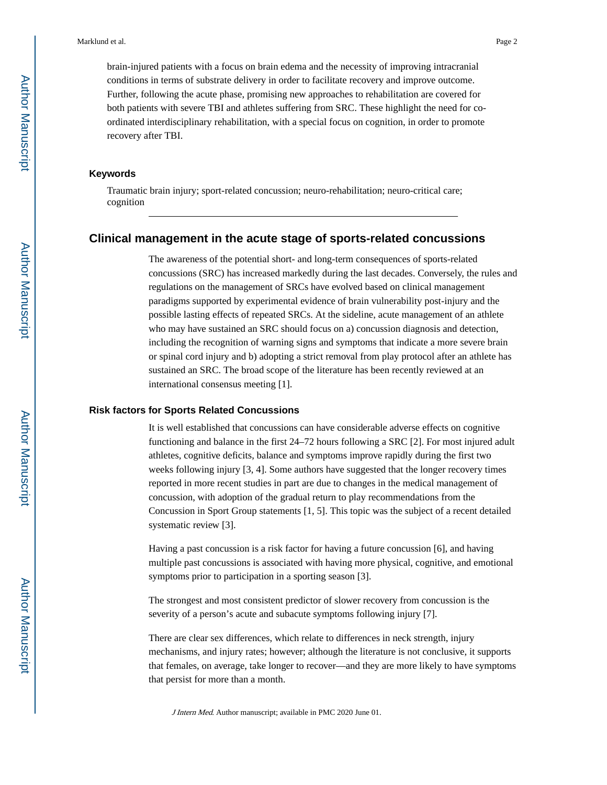brain-injured patients with a focus on brain edema and the necessity of improving intracranial conditions in terms of substrate delivery in order to facilitate recovery and improve outcome. Further, following the acute phase, promising new approaches to rehabilitation are covered for both patients with severe TBI and athletes suffering from SRC. These highlight the need for coordinated interdisciplinary rehabilitation, with a special focus on cognition, in order to promote recovery after TBI.

#### **Keywords**

Traumatic brain injury; sport-related concussion; neuro-rehabilitation; neuro-critical care; cognition

## **Clinical management in the acute stage of sports-related concussions**

The awareness of the potential short- and long-term consequences of sports-related concussions (SRC) has increased markedly during the last decades. Conversely, the rules and regulations on the management of SRCs have evolved based on clinical management paradigms supported by experimental evidence of brain vulnerability post-injury and the possible lasting effects of repeated SRCs. At the sideline, acute management of an athlete who may have sustained an SRC should focus on a) concussion diagnosis and detection, including the recognition of warning signs and symptoms that indicate a more severe brain or spinal cord injury and b) adopting a strict removal from play protocol after an athlete has sustained an SRC. The broad scope of the literature has been recently reviewed at an international consensus meeting [1].

### **Risk factors for Sports Related Concussions**

It is well established that concussions can have considerable adverse effects on cognitive functioning and balance in the first 24–72 hours following a SRC [2]. For most injured adult athletes, cognitive deficits, balance and symptoms improve rapidly during the first two weeks following injury [3, 4]. Some authors have suggested that the longer recovery times reported in more recent studies in part are due to changes in the medical management of concussion, with adoption of the gradual return to play recommendations from the Concussion in Sport Group statements [1, 5]. This topic was the subject of a recent detailed systematic review [3].

Having a past concussion is a risk factor for having a future concussion [6], and having multiple past concussions is associated with having more physical, cognitive, and emotional symptoms prior to participation in a sporting season [3].

The strongest and most consistent predictor of slower recovery from concussion is the severity of a person's acute and subacute symptoms following injury [7].

There are clear sex differences, which relate to differences in neck strength, injury mechanisms, and injury rates; however; although the literature is not conclusive, it supports that females, on average, take longer to recover—and they are more likely to have symptoms that persist for more than a month.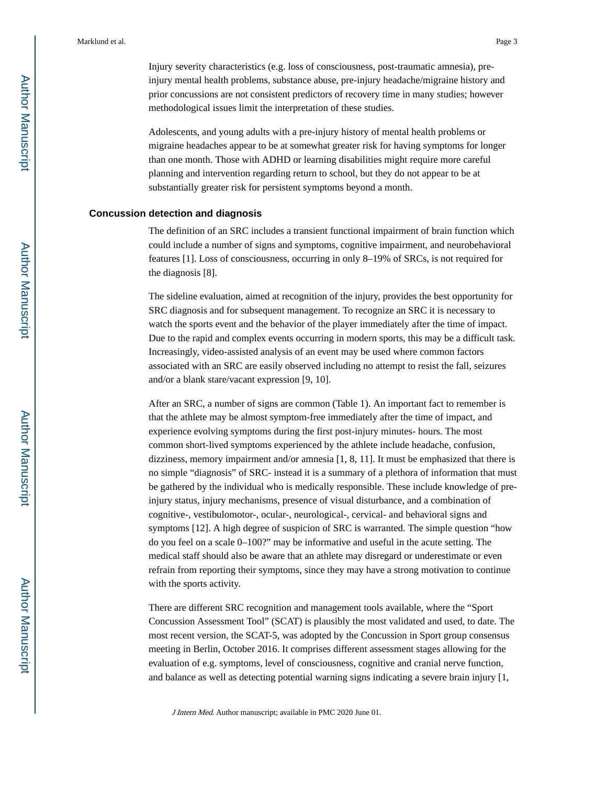Injury severity characteristics (e.g. loss of consciousness, post-traumatic amnesia), preinjury mental health problems, substance abuse, pre-injury headache/migraine history and prior concussions are not consistent predictors of recovery time in many studies; however methodological issues limit the interpretation of these studies.

Adolescents, and young adults with a pre-injury history of mental health problems or migraine headaches appear to be at somewhat greater risk for having symptoms for longer than one month. Those with ADHD or learning disabilities might require more careful planning and intervention regarding return to school, but they do not appear to be at substantially greater risk for persistent symptoms beyond a month.

### **Concussion detection and diagnosis**

The definition of an SRC includes a transient functional impairment of brain function which could include a number of signs and symptoms, cognitive impairment, and neurobehavioral features [1]. Loss of consciousness, occurring in only 8–19% of SRCs, is not required for the diagnosis [8].

The sideline evaluation, aimed at recognition of the injury, provides the best opportunity for SRC diagnosis and for subsequent management. To recognize an SRC it is necessary to watch the sports event and the behavior of the player immediately after the time of impact. Due to the rapid and complex events occurring in modern sports, this may be a difficult task. Increasingly, video-assisted analysis of an event may be used where common factors associated with an SRC are easily observed including no attempt to resist the fall, seizures and/or a blank stare/vacant expression [9, 10].

After an SRC, a number of signs are common (Table 1). An important fact to remember is that the athlete may be almost symptom-free immediately after the time of impact, and experience evolving symptoms during the first post-injury minutes- hours. The most common short-lived symptoms experienced by the athlete include headache, confusion, dizziness, memory impairment and/or amnesia [1, 8, 11]. It must be emphasized that there is no simple "diagnosis" of SRC- instead it is a summary of a plethora of information that must be gathered by the individual who is medically responsible. These include knowledge of preinjury status, injury mechanisms, presence of visual disturbance, and a combination of cognitive-, vestibulomotor-, ocular-, neurological-, cervical- and behavioral signs and symptoms [12]. A high degree of suspicion of SRC is warranted. The simple question "how do you feel on a scale 0–100?" may be informative and useful in the acute setting. The medical staff should also be aware that an athlete may disregard or underestimate or even refrain from reporting their symptoms, since they may have a strong motivation to continue with the sports activity.

There are different SRC recognition and management tools available, where the "Sport Concussion Assessment Tool" (SCAT) is plausibly the most validated and used, to date. The most recent version, the SCAT-5, was adopted by the Concussion in Sport group consensus meeting in Berlin, October 2016. It comprises different assessment stages allowing for the evaluation of e.g. symptoms, level of consciousness, cognitive and cranial nerve function, and balance as well as detecting potential warning signs indicating a severe brain injury [1,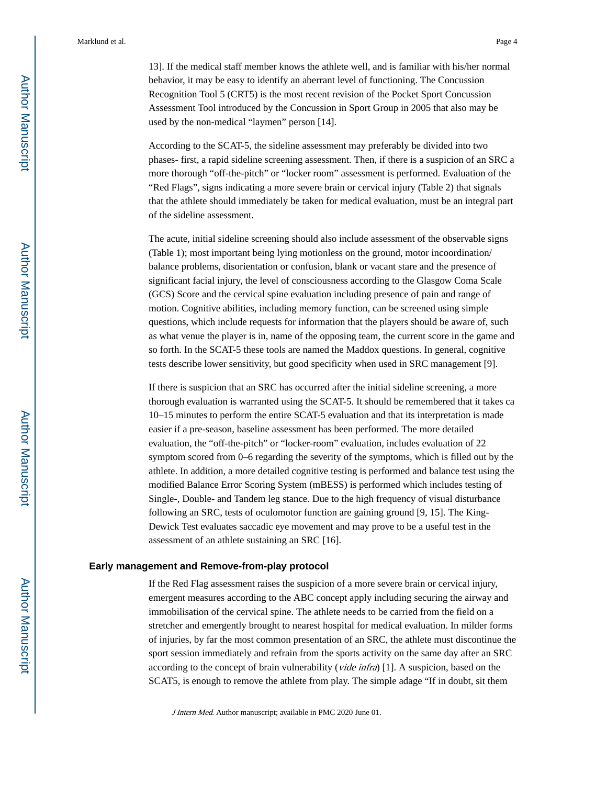13]. If the medical staff member knows the athlete well, and is familiar with his/her normal behavior, it may be easy to identify an aberrant level of functioning. The Concussion Recognition Tool 5 (CRT5) is the most recent revision of the Pocket Sport Concussion Assessment Tool introduced by the Concussion in Sport Group in 2005 that also may be used by the non-medical "laymen" person [14].

According to the SCAT-5, the sideline assessment may preferably be divided into two phases- first, a rapid sideline screening assessment. Then, if there is a suspicion of an SRC a more thorough "off-the-pitch" or "locker room" assessment is performed. Evaluation of the "Red Flags", signs indicating a more severe brain or cervical injury (Table 2) that signals that the athlete should immediately be taken for medical evaluation, must be an integral part of the sideline assessment.

The acute, initial sideline screening should also include assessment of the observable signs (Table 1); most important being lying motionless on the ground, motor incoordination/ balance problems, disorientation or confusion, blank or vacant stare and the presence of significant facial injury, the level of consciousness according to the Glasgow Coma Scale (GCS) Score and the cervical spine evaluation including presence of pain and range of motion. Cognitive abilities, including memory function, can be screened using simple questions, which include requests for information that the players should be aware of, such as what venue the player is in, name of the opposing team, the current score in the game and so forth. In the SCAT-5 these tools are named the Maddox questions. In general, cognitive tests describe lower sensitivity, but good specificity when used in SRC management [9].

If there is suspicion that an SRC has occurred after the initial sideline screening, a more thorough evaluation is warranted using the SCAT-5. It should be remembered that it takes ca 10–15 minutes to perform the entire SCAT-5 evaluation and that its interpretation is made easier if a pre-season, baseline assessment has been performed. The more detailed evaluation, the "off-the-pitch" or "locker-room" evaluation, includes evaluation of 22 symptom scored from 0–6 regarding the severity of the symptoms, which is filled out by the athlete. In addition, a more detailed cognitive testing is performed and balance test using the modified Balance Error Scoring System (mBESS) is performed which includes testing of Single-, Double- and Tandem leg stance. Due to the high frequency of visual disturbance following an SRC, tests of oculomotor function are gaining ground [9, 15]. The King-Dewick Test evaluates saccadic eye movement and may prove to be a useful test in the assessment of an athlete sustaining an SRC [16].

#### **Early management and Remove-from-play protocol**

If the Red Flag assessment raises the suspicion of a more severe brain or cervical injury, emergent measures according to the ABC concept apply including securing the airway and immobilisation of the cervical spine. The athlete needs to be carried from the field on a stretcher and emergently brought to nearest hospital for medical evaluation. In milder forms of injuries, by far the most common presentation of an SRC, the athlete must discontinue the sport session immediately and refrain from the sports activity on the same day after an SRC according to the concept of brain vulnerability (*vide infra*) [1]. A suspicion, based on the SCAT5, is enough to remove the athlete from play. The simple adage "If in doubt, sit them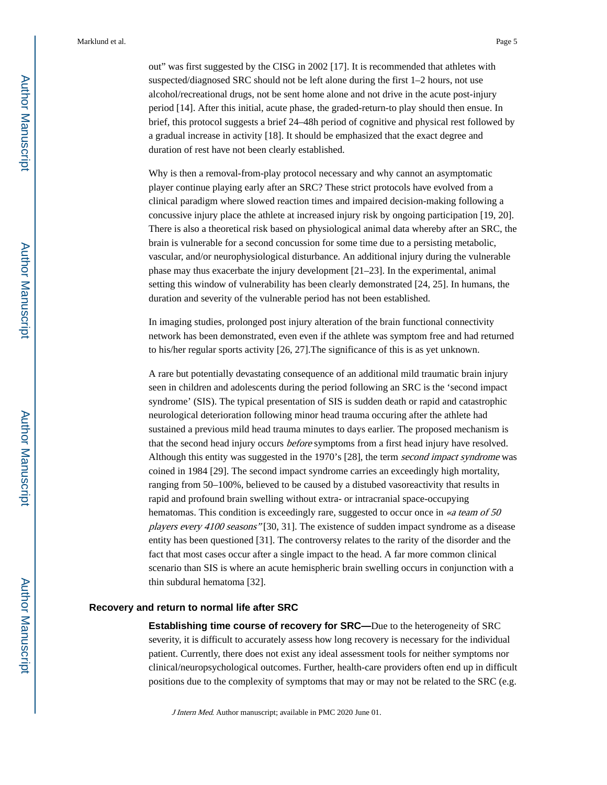out" was first suggested by the CISG in 2002 [17]. It is recommended that athletes with suspected/diagnosed SRC should not be left alone during the first 1–2 hours, not use alcohol/recreational drugs, not be sent home alone and not drive in the acute post-injury period [14]. After this initial, acute phase, the graded-return-to play should then ensue. In brief, this protocol suggests a brief 24–48h period of cognitive and physical rest followed by a gradual increase in activity [18]. It should be emphasized that the exact degree and duration of rest have not been clearly established.

Why is then a removal-from-play protocol necessary and why cannot an asymptomatic player continue playing early after an SRC? These strict protocols have evolved from a clinical paradigm where slowed reaction times and impaired decision-making following a concussive injury place the athlete at increased injury risk by ongoing participation [19, 20]. There is also a theoretical risk based on physiological animal data whereby after an SRC, the brain is vulnerable for a second concussion for some time due to a persisting metabolic, vascular, and/or neurophysiological disturbance. An additional injury during the vulnerable phase may thus exacerbate the injury development [21–23]. In the experimental, animal setting this window of vulnerability has been clearly demonstrated [24, 25]. In humans, the duration and severity of the vulnerable period has not been established.

In imaging studies, prolonged post injury alteration of the brain functional connectivity network has been demonstrated, even even if the athlete was symptom free and had returned to his/her regular sports activity [26, 27].The significance of this is as yet unknown.

A rare but potentially devastating consequence of an additional mild traumatic brain injury seen in children and adolescents during the period following an SRC is the 'second impact syndrome' (SIS). The typical presentation of SIS is sudden death or rapid and catastrophic neurological deterioration following minor head trauma occuring after the athlete had sustained a previous mild head trauma minutes to days earlier. The proposed mechanism is that the second head injury occurs before symptoms from a first head injury have resolved. Although this entity was suggested in the 1970's [28], the term second impact syndrome was coined in 1984 [29]. The second impact syndrome carries an exceedingly high mortality, ranging from 50–100%, believed to be caused by a distubed vasoreactivity that results in rapid and profound brain swelling without extra- or intracranial space-occupying hematomas. This condition is exceedingly rare, suggested to occur once in «a team of 50 players every 4100 seasons" [30, 31]. The existence of sudden impact syndrome as a disease entity has been questioned [31]. The controversy relates to the rarity of the disorder and the fact that most cases occur after a single impact to the head. A far more common clinical scenario than SIS is where an acute hemispheric brain swelling occurs in conjunction with a thin subdural hematoma [32].

#### **Recovery and return to normal life after SRC**

**Establishing time course of recovery for SRC—**Due to the heterogeneity of SRC severity, it is difficult to accurately assess how long recovery is necessary for the individual patient. Currently, there does not exist any ideal assessment tools for neither symptoms nor clinical/neuropsychological outcomes. Further, health-care providers often end up in difficult positions due to the complexity of symptoms that may or may not be related to the SRC (e.g.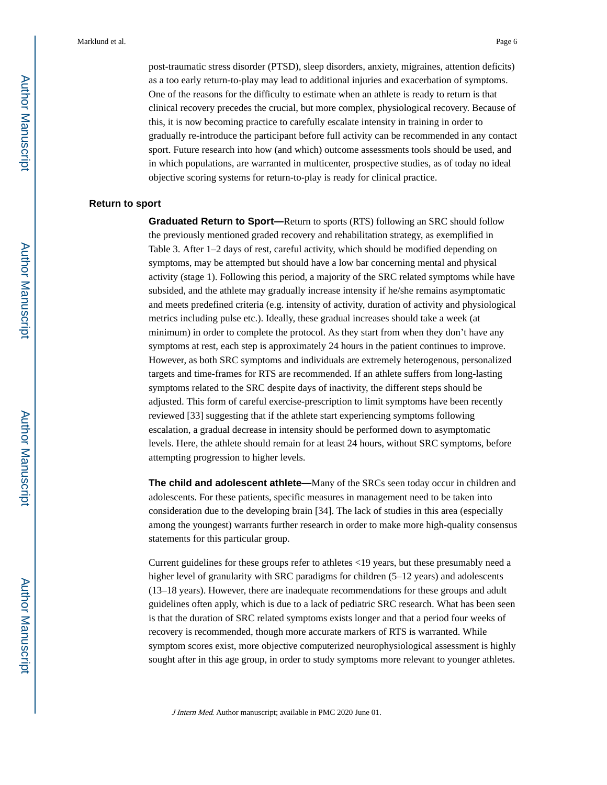post-traumatic stress disorder (PTSD), sleep disorders, anxiety, migraines, attention deficits) as a too early return-to-play may lead to additional injuries and exacerbation of symptoms. One of the reasons for the difficulty to estimate when an athlete is ready to return is that clinical recovery precedes the crucial, but more complex, physiological recovery. Because of this, it is now becoming practice to carefully escalate intensity in training in order to gradually re-introduce the participant before full activity can be recommended in any contact sport. Future research into how (and which) outcome assessments tools should be used, and in which populations, are warranted in multicenter, prospective studies, as of today no ideal objective scoring systems for return-to-play is ready for clinical practice.

#### **Return to sport**

**Graduated Return to Sport—**Return to sports (RTS) following an SRC should follow the previously mentioned graded recovery and rehabilitation strategy, as exemplified in Table 3. After 1–2 days of rest, careful activity, which should be modified depending on symptoms, may be attempted but should have a low bar concerning mental and physical activity (stage 1). Following this period, a majority of the SRC related symptoms while have subsided, and the athlete may gradually increase intensity if he/she remains asymptomatic and meets predefined criteria (e.g. intensity of activity, duration of activity and physiological metrics including pulse etc.). Ideally, these gradual increases should take a week (at minimum) in order to complete the protocol. As they start from when they don't have any symptoms at rest, each step is approximately 24 hours in the patient continues to improve. However, as both SRC symptoms and individuals are extremely heterogenous, personalized targets and time-frames for RTS are recommended. If an athlete suffers from long-lasting symptoms related to the SRC despite days of inactivity, the different steps should be adjusted. This form of careful exercise-prescription to limit symptoms have been recently reviewed [33] suggesting that if the athlete start experiencing symptoms following escalation, a gradual decrease in intensity should be performed down to asymptomatic levels. Here, the athlete should remain for at least 24 hours, without SRC symptoms, before attempting progression to higher levels.

**The child and adolescent athlete—**Many of the SRCs seen today occur in children and adolescents. For these patients, specific measures in management need to be taken into consideration due to the developing brain [34]. The lack of studies in this area (especially among the youngest) warrants further research in order to make more high-quality consensus statements for this particular group.

Current guidelines for these groups refer to athletes <19 years, but these presumably need a higher level of granularity with SRC paradigms for children (5–12 years) and adolescents (13–18 years). However, there are inadequate recommendations for these groups and adult guidelines often apply, which is due to a lack of pediatric SRC research. What has been seen is that the duration of SRC related symptoms exists longer and that a period four weeks of recovery is recommended, though more accurate markers of RTS is warranted. While symptom scores exist, more objective computerized neurophysiological assessment is highly sought after in this age group, in order to study symptoms more relevant to younger athletes.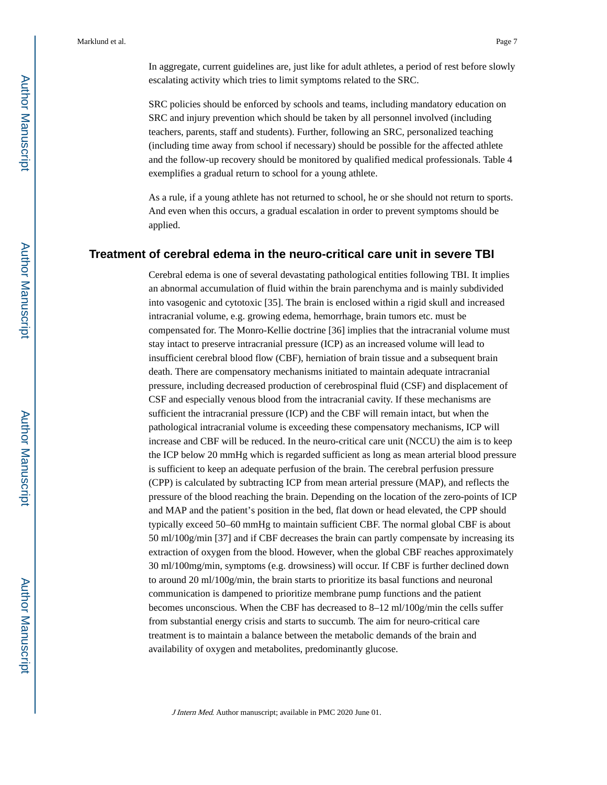In aggregate, current guidelines are, just like for adult athletes, a period of rest before slowly escalating activity which tries to limit symptoms related to the SRC.

SRC policies should be enforced by schools and teams, including mandatory education on SRC and injury prevention which should be taken by all personnel involved (including teachers, parents, staff and students). Further, following an SRC, personalized teaching (including time away from school if necessary) should be possible for the affected athlete and the follow-up recovery should be monitored by qualified medical professionals. Table 4 exemplifies a gradual return to school for a young athlete.

As a rule, if a young athlete has not returned to school, he or she should not return to sports. And even when this occurs, a gradual escalation in order to prevent symptoms should be applied.

## **Treatment of cerebral edema in the neuro-critical care unit in severe TBI**

Cerebral edema is one of several devastating pathological entities following TBI. It implies an abnormal accumulation of fluid within the brain parenchyma and is mainly subdivided into vasogenic and cytotoxic [35]. The brain is enclosed within a rigid skull and increased intracranial volume, e.g. growing edema, hemorrhage, brain tumors etc. must be compensated for. The Monro-Kellie doctrine [36] implies that the intracranial volume must stay intact to preserve intracranial pressure (ICP) as an increased volume will lead to insufficient cerebral blood flow (CBF), herniation of brain tissue and a subsequent brain death. There are compensatory mechanisms initiated to maintain adequate intracranial pressure, including decreased production of cerebrospinal fluid (CSF) and displacement of CSF and especially venous blood from the intracranial cavity. If these mechanisms are sufficient the intracranial pressure (ICP) and the CBF will remain intact, but when the pathological intracranial volume is exceeding these compensatory mechanisms, ICP will increase and CBF will be reduced. In the neuro-critical care unit (NCCU) the aim is to keep the ICP below 20 mmHg which is regarded sufficient as long as mean arterial blood pressure is sufficient to keep an adequate perfusion of the brain. The cerebral perfusion pressure (CPP) is calculated by subtracting ICP from mean arterial pressure (MAP), and reflects the pressure of the blood reaching the brain. Depending on the location of the zero-points of ICP and MAP and the patient's position in the bed, flat down or head elevated, the CPP should typically exceed 50–60 mmHg to maintain sufficient CBF. The normal global CBF is about 50 ml/100g/min [37] and if CBF decreases the brain can partly compensate by increasing its extraction of oxygen from the blood. However, when the global CBF reaches approximately 30 ml/100mg/min, symptoms (e.g. drowsiness) will occur. If CBF is further declined down to around 20 ml/100g/min, the brain starts to prioritize its basal functions and neuronal communication is dampened to prioritize membrane pump functions and the patient becomes unconscious. When the CBF has decreased to 8–12 ml/100g/min the cells suffer from substantial energy crisis and starts to succumb. The aim for neuro-critical care treatment is to maintain a balance between the metabolic demands of the brain and availability of oxygen and metabolites, predominantly glucose.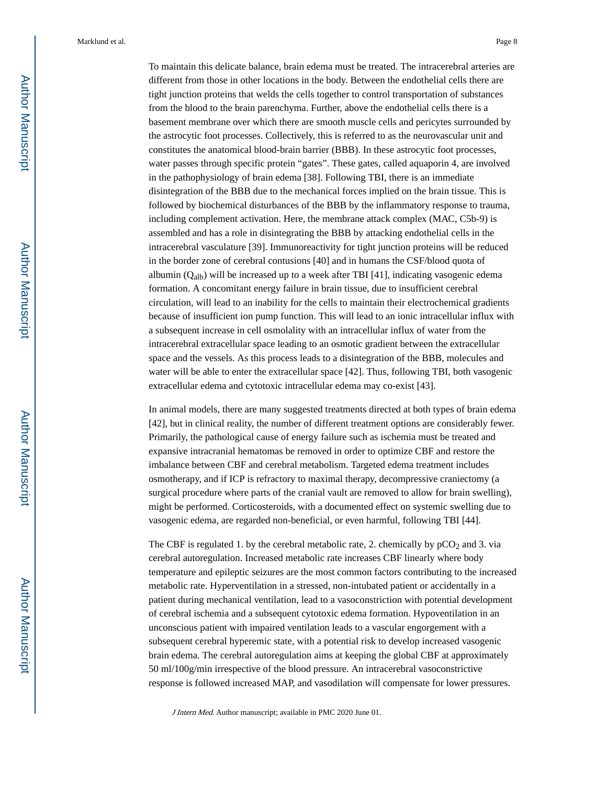To maintain this delicate balance, brain edema must be treated. The intracerebral arteries are different from those in other locations in the body. Between the endothelial cells there are tight junction proteins that welds the cells together to control transportation of substances from the blood to the brain parenchyma. Further, above the endothelial cells there is a basement membrane over which there are smooth muscle cells and pericytes surrounded by the astrocytic foot processes. Collectively, this is referred to as the neurovascular unit and constitutes the anatomical blood-brain barrier (BBB). In these astrocytic foot processes, water passes through specific protein "gates". These gates, called aquaporin 4, are involved in the pathophysiology of brain edema [38]. Following TBI, there is an immediate disintegration of the BBB due to the mechanical forces implied on the brain tissue. This is followed by biochemical disturbances of the BBB by the inflammatory response to trauma, including complement activation. Here, the membrane attack complex (MAC, C5b-9) is assembled and has a role in disintegrating the BBB by attacking endothelial cells in the intracerebral vasculature [39]. Immunoreactivity for tight junction proteins will be reduced in the border zone of cerebral contusions [40] and in humans the CSF/blood quota of albumin  $(Q_{\text{alb}})$  will be increased up to a week after TBI [41], indicating vasogenic edema formation. A concomitant energy failure in brain tissue, due to insufficient cerebral circulation, will lead to an inability for the cells to maintain their electrochemical gradients because of insufficient ion pump function. This will lead to an ionic intracellular influx with a subsequent increase in cell osmolality with an intracellular influx of water from the intracerebral extracellular space leading to an osmotic gradient between the extracellular space and the vessels. As this process leads to a disintegration of the BBB, molecules and water will be able to enter the extracellular space [42]. Thus, following TBI, both vasogenic extracellular edema and cytotoxic intracellular edema may co-exist [43].

In animal models, there are many suggested treatments directed at both types of brain edema [42], but in clinical reality, the number of different treatment options are considerably fewer. Primarily, the pathological cause of energy failure such as ischemia must be treated and expansive intracranial hematomas be removed in order to optimize CBF and restore the imbalance between CBF and cerebral metabolism. Targeted edema treatment includes osmotherapy, and if ICP is refractory to maximal therapy, decompressive craniectomy (a surgical procedure where parts of the cranial vault are removed to allow for brain swelling), might be performed. Corticosteroids, with a documented effect on systemic swelling due to vasogenic edema, are regarded non-beneficial, or even harmful, following TBI [44].

The CBF is regulated 1. by the cerebral metabolic rate, 2. chemically by  $pCO<sub>2</sub>$  and 3. via cerebral autoregulation. Increased metabolic rate increases CBF linearly where body temperature and epileptic seizures are the most common factors contributing to the increased metabolic rate. Hyperventilation in a stressed, non-intubated patient or accidentally in a patient during mechanical ventilation, lead to a vasoconstriction with potential development of cerebral ischemia and a subsequent cytotoxic edema formation. Hypoventilation in an unconscious patient with impaired ventilation leads to a vascular engorgement with a subsequent cerebral hyperemic state, with a potential risk to develop increased vasogenic brain edema. The cerebral autoregulation aims at keeping the global CBF at approximately 50 ml/100g/min irrespective of the blood pressure. An intracerebral vasoconstrictive response is followed increased MAP, and vasodilation will compensate for lower pressures.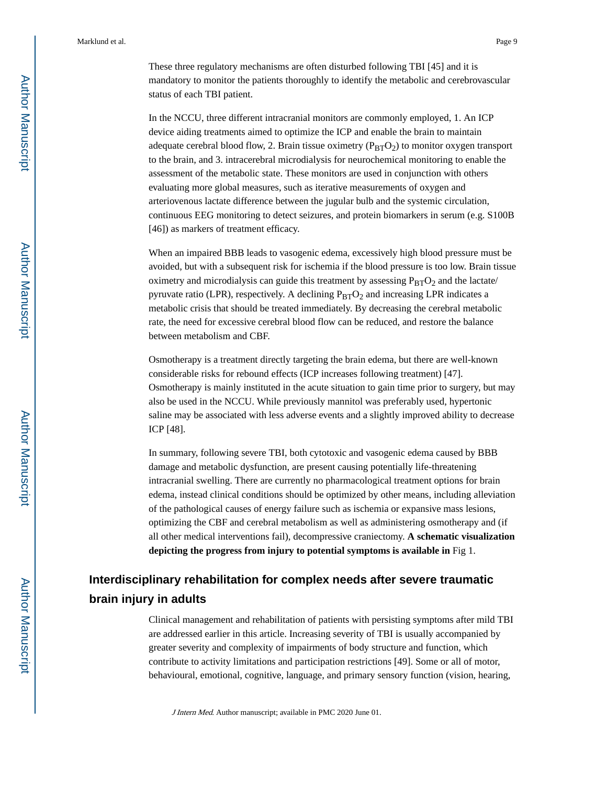These three regulatory mechanisms are often disturbed following TBI [45] and it is mandatory to monitor the patients thoroughly to identify the metabolic and cerebrovascular status of each TBI patient.

In the NCCU, three different intracranial monitors are commonly employed, 1. An ICP device aiding treatments aimed to optimize the ICP and enable the brain to maintain adequate cerebral blood flow, 2. Brain tissue oximetry ( $P_{BT}O_2$ ) to monitor oxygen transport to the brain, and 3. intracerebral microdialysis for neurochemical monitoring to enable the assessment of the metabolic state. These monitors are used in conjunction with others evaluating more global measures, such as iterative measurements of oxygen and arteriovenous lactate difference between the jugular bulb and the systemic circulation, continuous EEG monitoring to detect seizures, and protein biomarkers in serum (e.g. S100B [46]) as markers of treatment efficacy.

When an impaired BBB leads to vasogenic edema, excessively high blood pressure must be avoided, but with a subsequent risk for ischemia if the blood pressure is too low. Brain tissue oximetry and microdialysis can guide this treatment by assessing  $P_{\rm BT}O_2$  and the lactate/ pyruvate ratio (LPR), respectively. A declining  $P_{BT}O_2$  and increasing LPR indicates a metabolic crisis that should be treated immediately. By decreasing the cerebral metabolic rate, the need for excessive cerebral blood flow can be reduced, and restore the balance between metabolism and CBF.

Osmotherapy is a treatment directly targeting the brain edema, but there are well-known considerable risks for rebound effects (ICP increases following treatment) [47]. Osmotherapy is mainly instituted in the acute situation to gain time prior to surgery, but may also be used in the NCCU. While previously mannitol was preferably used, hypertonic saline may be associated with less adverse events and a slightly improved ability to decrease ICP [48].

In summary, following severe TBI, both cytotoxic and vasogenic edema caused by BBB damage and metabolic dysfunction, are present causing potentially life-threatening intracranial swelling. There are currently no pharmacological treatment options for brain edema, instead clinical conditions should be optimized by other means, including alleviation of the pathological causes of energy failure such as ischemia or expansive mass lesions, optimizing the CBF and cerebral metabolism as well as administering osmotherapy and (if all other medical interventions fail), decompressive craniectomy. **A schematic visualization depicting the progress from injury to potential symptoms is available in** Fig 1.

## **Interdisciplinary rehabilitation for complex needs after severe traumatic brain injury in adults**

Clinical management and rehabilitation of patients with persisting symptoms after mild TBI are addressed earlier in this article. Increasing severity of TBI is usually accompanied by greater severity and complexity of impairments of body structure and function, which contribute to activity limitations and participation restrictions [49]. Some or all of motor, behavioural, emotional, cognitive, language, and primary sensory function (vision, hearing,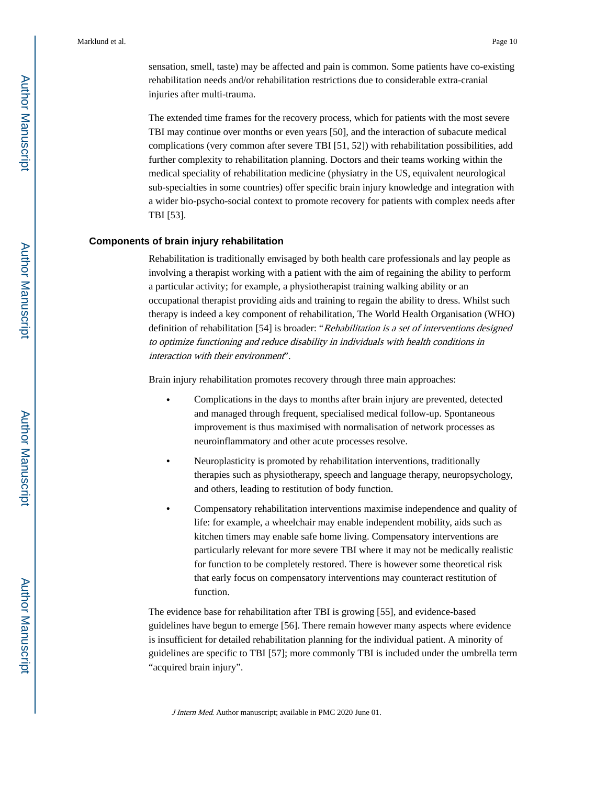sensation, smell, taste) may be affected and pain is common. Some patients have co-existing rehabilitation needs and/or rehabilitation restrictions due to considerable extra-cranial injuries after multi-trauma.

The extended time frames for the recovery process, which for patients with the most severe TBI may continue over months or even years [50], and the interaction of subacute medical complications (very common after severe TBI [51, 52]) with rehabilitation possibilities, add further complexity to rehabilitation planning. Doctors and their teams working within the medical speciality of rehabilitation medicine (physiatry in the US, equivalent neurological sub-specialties in some countries) offer specific brain injury knowledge and integration with a wider bio-psycho-social context to promote recovery for patients with complex needs after TBI [53].

#### **Components of brain injury rehabilitation**

Rehabilitation is traditionally envisaged by both health care professionals and lay people as involving a therapist working with a patient with the aim of regaining the ability to perform a particular activity; for example, a physiotherapist training walking ability or an occupational therapist providing aids and training to regain the ability to dress. Whilst such therapy is indeed a key component of rehabilitation, The World Health Organisation (WHO) definition of rehabilitation [54] is broader: "Rehabilitation is a set of interventions designed to optimize functioning and reduce disability in individuals with health conditions in interaction with their environment".

Brain injury rehabilitation promotes recovery through three main approaches:

- **•** Complications in the days to months after brain injury are prevented, detected and managed through frequent, specialised medical follow-up. Spontaneous improvement is thus maximised with normalisation of network processes as neuroinflammatory and other acute processes resolve.
- **•** Neuroplasticity is promoted by rehabilitation interventions, traditionally therapies such as physiotherapy, speech and language therapy, neuropsychology, and others, leading to restitution of body function.
- **•** Compensatory rehabilitation interventions maximise independence and quality of life: for example, a wheelchair may enable independent mobility, aids such as kitchen timers may enable safe home living. Compensatory interventions are particularly relevant for more severe TBI where it may not be medically realistic for function to be completely restored. There is however some theoretical risk that early focus on compensatory interventions may counteract restitution of function.

The evidence base for rehabilitation after TBI is growing [55], and evidence-based guidelines have begun to emerge [56]. There remain however many aspects where evidence is insufficient for detailed rehabilitation planning for the individual patient. A minority of guidelines are specific to TBI [57]; more commonly TBI is included under the umbrella term "acquired brain injury".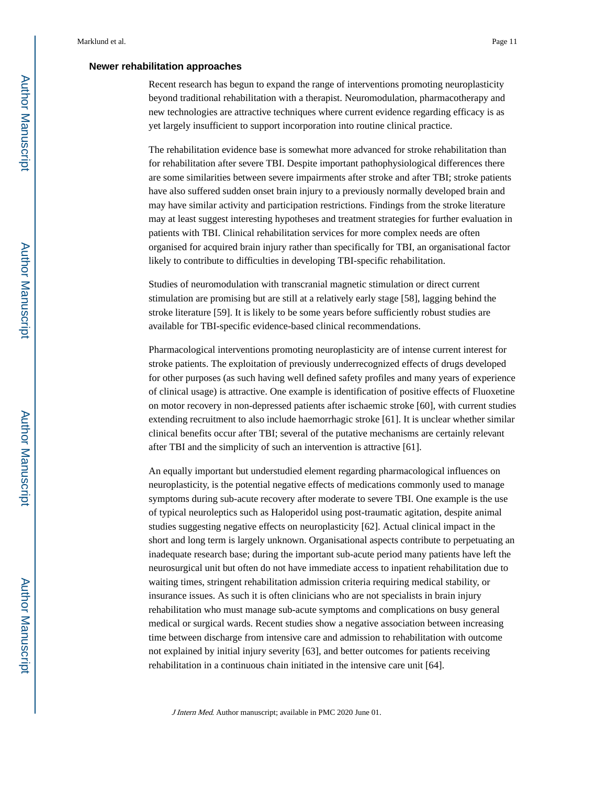### **Newer rehabilitation approaches**

Recent research has begun to expand the range of interventions promoting neuroplasticity beyond traditional rehabilitation with a therapist. Neuromodulation, pharmacotherapy and new technologies are attractive techniques where current evidence regarding efficacy is as yet largely insufficient to support incorporation into routine clinical practice.

The rehabilitation evidence base is somewhat more advanced for stroke rehabilitation than for rehabilitation after severe TBI. Despite important pathophysiological differences there are some similarities between severe impairments after stroke and after TBI; stroke patients have also suffered sudden onset brain injury to a previously normally developed brain and may have similar activity and participation restrictions. Findings from the stroke literature may at least suggest interesting hypotheses and treatment strategies for further evaluation in patients with TBI. Clinical rehabilitation services for more complex needs are often organised for acquired brain injury rather than specifically for TBI, an organisational factor likely to contribute to difficulties in developing TBI-specific rehabilitation.

Studies of neuromodulation with transcranial magnetic stimulation or direct current stimulation are promising but are still at a relatively early stage [58], lagging behind the stroke literature [59]. It is likely to be some years before sufficiently robust studies are available for TBI-specific evidence-based clinical recommendations.

Pharmacological interventions promoting neuroplasticity are of intense current interest for stroke patients. The exploitation of previously underrecognized effects of drugs developed for other purposes (as such having well defined safety profiles and many years of experience of clinical usage) is attractive. One example is identification of positive effects of Fluoxetine on motor recovery in non-depressed patients after ischaemic stroke [60], with current studies extending recruitment to also include haemorrhagic stroke [61]. It is unclear whether similar clinical benefits occur after TBI; several of the putative mechanisms are certainly relevant after TBI and the simplicity of such an intervention is attractive [61].

An equally important but understudied element regarding pharmacological influences on neuroplasticity, is the potential negative effects of medications commonly used to manage symptoms during sub-acute recovery after moderate to severe TBI. One example is the use of typical neuroleptics such as Haloperidol using post-traumatic agitation, despite animal studies suggesting negative effects on neuroplasticity [62]. Actual clinical impact in the short and long term is largely unknown. Organisational aspects contribute to perpetuating an inadequate research base; during the important sub-acute period many patients have left the neurosurgical unit but often do not have immediate access to inpatient rehabilitation due to waiting times, stringent rehabilitation admission criteria requiring medical stability, or insurance issues. As such it is often clinicians who are not specialists in brain injury rehabilitation who must manage sub-acute symptoms and complications on busy general medical or surgical wards. Recent studies show a negative association between increasing time between discharge from intensive care and admission to rehabilitation with outcome not explained by initial injury severity [63], and better outcomes for patients receiving rehabilitation in a continuous chain initiated in the intensive care unit [64].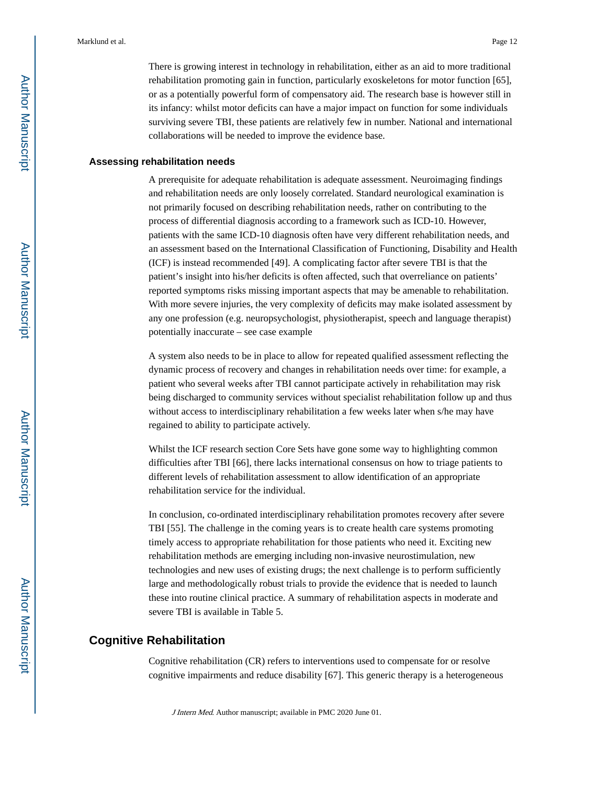There is growing interest in technology in rehabilitation, either as an aid to more traditional rehabilitation promoting gain in function, particularly exoskeletons for motor function [65], or as a potentially powerful form of compensatory aid. The research base is however still in its infancy: whilst motor deficits can have a major impact on function for some individuals surviving severe TBI, these patients are relatively few in number. National and international collaborations will be needed to improve the evidence base.

#### **Assessing rehabilitation needs**

A prerequisite for adequate rehabilitation is adequate assessment. Neuroimaging findings and rehabilitation needs are only loosely correlated. Standard neurological examination is not primarily focused on describing rehabilitation needs, rather on contributing to the process of differential diagnosis according to a framework such as ICD-10. However, patients with the same ICD-10 diagnosis often have very different rehabilitation needs, and an assessment based on the International Classification of Functioning, Disability and Health (ICF) is instead recommended [49]. A complicating factor after severe TBI is that the patient's insight into his/her deficits is often affected, such that overreliance on patients' reported symptoms risks missing important aspects that may be amenable to rehabilitation. With more severe injuries, the very complexity of deficits may make isolated assessment by any one profession (e.g. neuropsychologist, physiotherapist, speech and language therapist) potentially inaccurate – see case example

A system also needs to be in place to allow for repeated qualified assessment reflecting the dynamic process of recovery and changes in rehabilitation needs over time: for example, a patient who several weeks after TBI cannot participate actively in rehabilitation may risk being discharged to community services without specialist rehabilitation follow up and thus without access to interdisciplinary rehabilitation a few weeks later when s/he may have regained to ability to participate actively.

Whilst the ICF research section Core Sets have gone some way to highlighting common difficulties after TBI [66], there lacks international consensus on how to triage patients to different levels of rehabilitation assessment to allow identification of an appropriate rehabilitation service for the individual.

In conclusion, co-ordinated interdisciplinary rehabilitation promotes recovery after severe TBI [55]. The challenge in the coming years is to create health care systems promoting timely access to appropriate rehabilitation for those patients who need it. Exciting new rehabilitation methods are emerging including non-invasive neurostimulation, new technologies and new uses of existing drugs; the next challenge is to perform sufficiently large and methodologically robust trials to provide the evidence that is needed to launch these into routine clinical practice. A summary of rehabilitation aspects in moderate and severe TBI is available in Table 5.

## **Cognitive Rehabilitation**

Cognitive rehabilitation (CR) refers to interventions used to compensate for or resolve cognitive impairments and reduce disability [67]. This generic therapy is a heterogeneous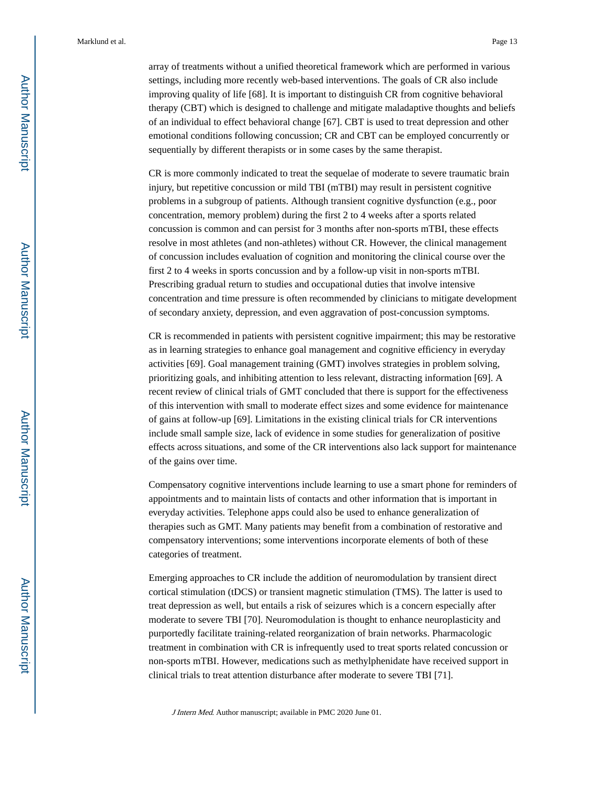array of treatments without a unified theoretical framework which are performed in various settings, including more recently web-based interventions. The goals of CR also include improving quality of life [68]. It is important to distinguish CR from cognitive behavioral therapy (CBT) which is designed to challenge and mitigate maladaptive thoughts and beliefs of an individual to effect behavioral change [67]. CBT is used to treat depression and other emotional conditions following concussion; CR and CBT can be employed concurrently or sequentially by different therapists or in some cases by the same therapist.

CR is more commonly indicated to treat the sequelae of moderate to severe traumatic brain injury, but repetitive concussion or mild TBI (mTBI) may result in persistent cognitive problems in a subgroup of patients. Although transient cognitive dysfunction (e.g., poor concentration, memory problem) during the first 2 to 4 weeks after a sports related concussion is common and can persist for 3 months after non-sports mTBI, these effects resolve in most athletes (and non-athletes) without CR. However, the clinical management of concussion includes evaluation of cognition and monitoring the clinical course over the first 2 to 4 weeks in sports concussion and by a follow-up visit in non-sports mTBI. Prescribing gradual return to studies and occupational duties that involve intensive concentration and time pressure is often recommended by clinicians to mitigate development of secondary anxiety, depression, and even aggravation of post-concussion symptoms.

CR is recommended in patients with persistent cognitive impairment; this may be restorative as in learning strategies to enhance goal management and cognitive efficiency in everyday activities [69]. Goal management training (GMT) involves strategies in problem solving, prioritizing goals, and inhibiting attention to less relevant, distracting information [69]. A recent review of clinical trials of GMT concluded that there is support for the effectiveness of this intervention with small to moderate effect sizes and some evidence for maintenance of gains at follow-up [69]. Limitations in the existing clinical trials for CR interventions include small sample size, lack of evidence in some studies for generalization of positive effects across situations, and some of the CR interventions also lack support for maintenance of the gains over time.

Compensatory cognitive interventions include learning to use a smart phone for reminders of appointments and to maintain lists of contacts and other information that is important in everyday activities. Telephone apps could also be used to enhance generalization of therapies such as GMT. Many patients may benefit from a combination of restorative and compensatory interventions; some interventions incorporate elements of both of these categories of treatment.

Emerging approaches to CR include the addition of neuromodulation by transient direct cortical stimulation (tDCS) or transient magnetic stimulation (TMS). The latter is used to treat depression as well, but entails a risk of seizures which is a concern especially after moderate to severe TBI [70]. Neuromodulation is thought to enhance neuroplasticity and purportedly facilitate training-related reorganization of brain networks. Pharmacologic treatment in combination with CR is infrequently used to treat sports related concussion or non-sports mTBI. However, medications such as methylphenidate have received support in clinical trials to treat attention disturbance after moderate to severe TBI [71].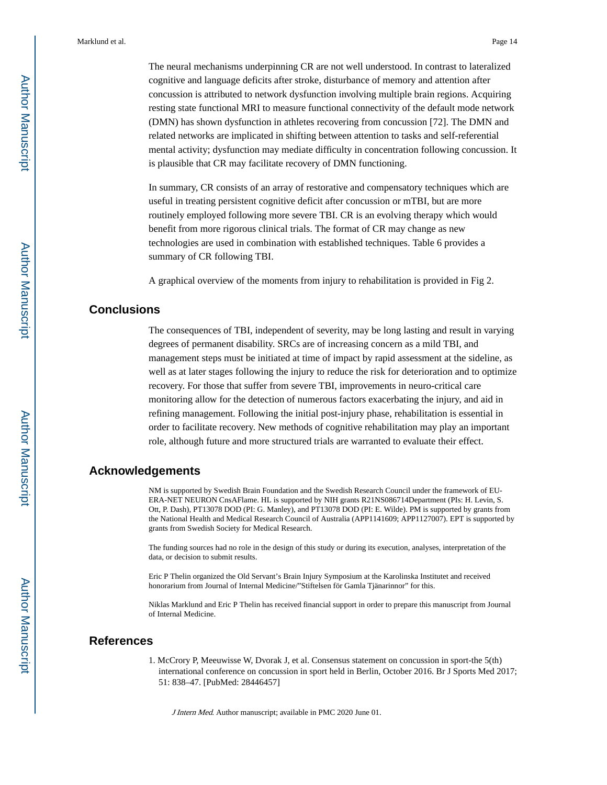The neural mechanisms underpinning CR are not well understood. In contrast to lateralized cognitive and language deficits after stroke, disturbance of memory and attention after concussion is attributed to network dysfunction involving multiple brain regions. Acquiring resting state functional MRI to measure functional connectivity of the default mode network (DMN) has shown dysfunction in athletes recovering from concussion [72]. The DMN and related networks are implicated in shifting between attention to tasks and self-referential mental activity; dysfunction may mediate difficulty in concentration following concussion. It is plausible that CR may facilitate recovery of DMN functioning.

In summary, CR consists of an array of restorative and compensatory techniques which are useful in treating persistent cognitive deficit after concussion or mTBI, but are more routinely employed following more severe TBI. CR is an evolving therapy which would benefit from more rigorous clinical trials. The format of CR may change as new technologies are used in combination with established techniques. Table 6 provides a summary of CR following TBI.

A graphical overview of the moments from injury to rehabilitation is provided in Fig 2.

## **Conclusions**

The consequences of TBI, independent of severity, may be long lasting and result in varying degrees of permanent disability. SRCs are of increasing concern as a mild TBI, and management steps must be initiated at time of impact by rapid assessment at the sideline, as well as at later stages following the injury to reduce the risk for deterioration and to optimize recovery. For those that suffer from severe TBI, improvements in neuro-critical care monitoring allow for the detection of numerous factors exacerbating the injury, and aid in refining management. Following the initial post-injury phase, rehabilitation is essential in order to facilitate recovery. New methods of cognitive rehabilitation may play an important role, although future and more structured trials are warranted to evaluate their effect.

## **Acknowledgements**

NM is supported by Swedish Brain Foundation and the Swedish Research Council under the framework of EU-ERA-NET NEURON CnsAFlame. HL is supported by NIH grants R21NS086714Department (PIs: H. Levin, S. Ott, P. Dash), PT13078 DOD (PI: G. Manley), and PT13078 DOD (PI: E. Wilde). PM is supported by grants from the National Health and Medical Research Council of Australia (APP1141609; APP1127007). EPT is supported by grants from Swedish Society for Medical Research.

The funding sources had no role in the design of this study or during its execution, analyses, interpretation of the data, or decision to submit results.

Eric P Thelin organized the Old Servant's Brain Injury Symposium at the Karolinska Institutet and received honorarium from Journal of Internal Medicine/"Stiftelsen för Gamla Tjänarinnor" for this.

Niklas Marklund and Eric P Thelin has received financial support in order to prepare this manuscript from Journal of Internal Medicine.

## **References**

1. McCrory P, Meeuwisse W, Dvorak J, et al. Consensus statement on concussion in sport-the 5(th) international conference on concussion in sport held in Berlin, October 2016. Br J Sports Med 2017; 51: 838–47. [PubMed: 28446457]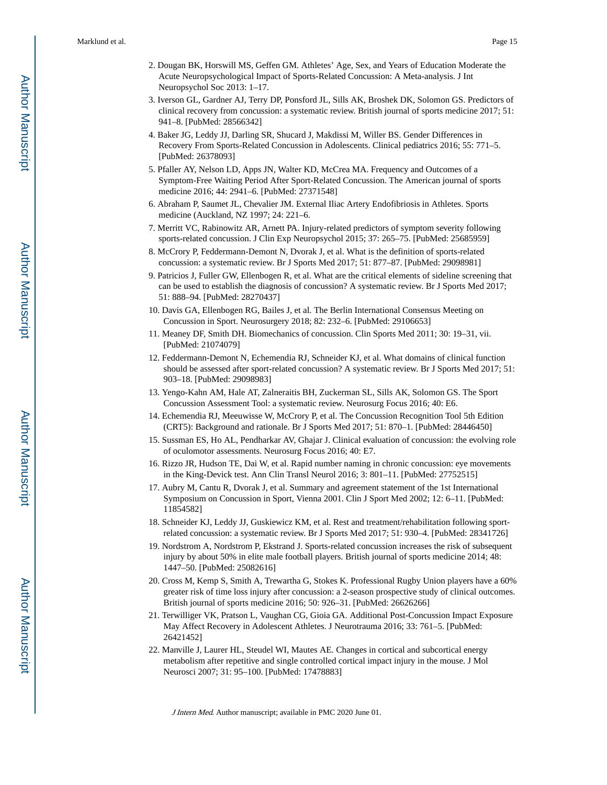- 2. Dougan BK, Horswill MS, Geffen GM. Athletes' Age, Sex, and Years of Education Moderate the Acute Neuropsychological Impact of Sports-Related Concussion: A Meta-analysis. J Int Neuropsychol Soc 2013: 1–17.
- 3. Iverson GL, Gardner AJ, Terry DP, Ponsford JL, Sills AK, Broshek DK, Solomon GS. Predictors of clinical recovery from concussion: a systematic review. British journal of sports medicine 2017; 51: 941–8. [PubMed: 28566342]
- 4. Baker JG, Leddy JJ, Darling SR, Shucard J, Makdissi M, Willer BS. Gender Differences in Recovery From Sports-Related Concussion in Adolescents. Clinical pediatrics 2016; 55: 771–5. [PubMed: 26378093]
- 5. Pfaller AY, Nelson LD, Apps JN, Walter KD, McCrea MA. Frequency and Outcomes of a Symptom-Free Waiting Period After Sport-Related Concussion. The American journal of sports medicine 2016; 44: 2941–6. [PubMed: 27371548]
- 6. Abraham P, Saumet JL, Chevalier JM. External Iliac Artery Endofibriosis in Athletes. Sports medicine (Auckland, NZ 1997; 24: 221–6.
- 7. Merritt VC, Rabinowitz AR, Arnett PA. Injury-related predictors of symptom severity following sports-related concussion. J Clin Exp Neuropsychol 2015; 37: 265–75. [PubMed: 25685959]
- 8. McCrory P, Feddermann-Demont N, Dvorak J, et al. What is the definition of sports-related concussion: a systematic review. Br J Sports Med 2017; 51: 877–87. [PubMed: 29098981]
- 9. Patricios J, Fuller GW, Ellenbogen R, et al. What are the critical elements of sideline screening that can be used to establish the diagnosis of concussion? A systematic review. Br J Sports Med 2017; 51: 888–94. [PubMed: 28270437]
- 10. Davis GA, Ellenbogen RG, Bailes J, et al. The Berlin International Consensus Meeting on Concussion in Sport. Neurosurgery 2018; 82: 232–6. [PubMed: 29106653]
- 11. Meaney DF, Smith DH. Biomechanics of concussion. Clin Sports Med 2011; 30: 19–31, vii. [PubMed: 21074079]
- 12. Feddermann-Demont N, Echemendia RJ, Schneider KJ, et al. What domains of clinical function should be assessed after sport-related concussion? A systematic review. Br J Sports Med 2017; 51: 903–18. [PubMed: 29098983]
- 13. Yengo-Kahn AM, Hale AT, Zalneraitis BH, Zuckerman SL, Sills AK, Solomon GS. The Sport Concussion Assessment Tool: a systematic review. Neurosurg Focus 2016; 40: E6.
- 14. Echemendia RJ, Meeuwisse W, McCrory P, et al. The Concussion Recognition Tool 5th Edition (CRT5): Background and rationale. Br J Sports Med 2017; 51: 870–1. [PubMed: 28446450]
- 15. Sussman ES, Ho AL, Pendharkar AV, Ghajar J. Clinical evaluation of concussion: the evolving role of oculomotor assessments. Neurosurg Focus 2016; 40: E7.
- 16. Rizzo JR, Hudson TE, Dai W, et al. Rapid number naming in chronic concussion: eye movements in the King-Devick test. Ann Clin Transl Neurol 2016; 3: 801–11. [PubMed: 27752515]
- 17. Aubry M, Cantu R, Dvorak J, et al. Summary and agreement statement of the 1st International Symposium on Concussion in Sport, Vienna 2001. Clin J Sport Med 2002; 12: 6–11. [PubMed: 11854582]
- 18. Schneider KJ, Leddy JJ, Guskiewicz KM, et al. Rest and treatment/rehabilitation following sportrelated concussion: a systematic review. Br J Sports Med 2017; 51: 930–4. [PubMed: 28341726]
- 19. Nordstrom A, Nordstrom P, Ekstrand J. Sports-related concussion increases the risk of subsequent injury by about 50% in elite male football players. British journal of sports medicine 2014; 48: 1447–50. [PubMed: 25082616]
- 20. Cross M, Kemp S, Smith A, Trewartha G, Stokes K. Professional Rugby Union players have a 60% greater risk of time loss injury after concussion: a 2-season prospective study of clinical outcomes. British journal of sports medicine 2016; 50: 926–31. [PubMed: 26626266]
- 21. Terwilliger VK, Pratson L, Vaughan CG, Gioia GA. Additional Post-Concussion Impact Exposure May Affect Recovery in Adolescent Athletes. J Neurotrauma 2016; 33: 761–5. [PubMed: 26421452]
- 22. Manville J, Laurer HL, Steudel WI, Mautes AE. Changes in cortical and subcortical energy metabolism after repetitive and single controlled cortical impact injury in the mouse. J Mol Neurosci 2007; 31: 95–100. [PubMed: 17478883]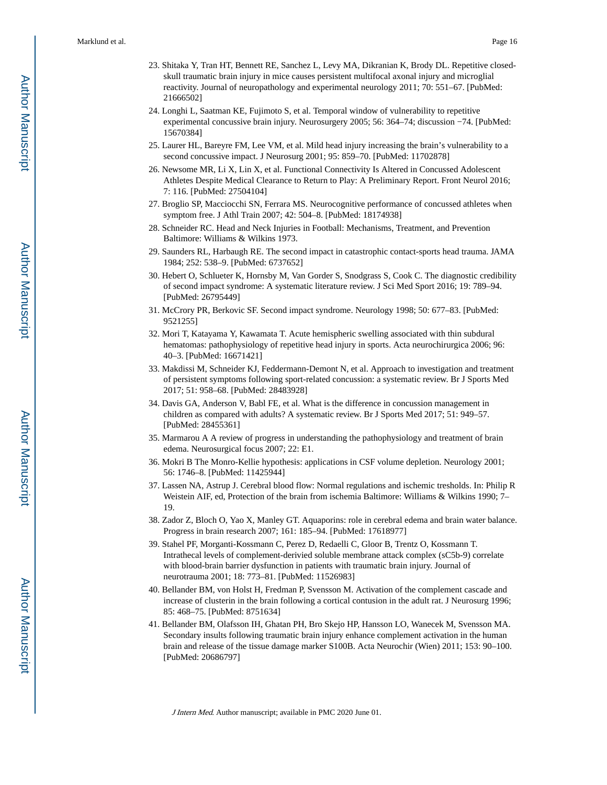- 23. Shitaka Y, Tran HT, Bennett RE, Sanchez L, Levy MA, Dikranian K, Brody DL. Repetitive closedskull traumatic brain injury in mice causes persistent multifocal axonal injury and microglial reactivity. Journal of neuropathology and experimental neurology 2011; 70: 551–67. [PubMed: 21666502]
- 24. Longhi L, Saatman KE, Fujimoto S, et al. Temporal window of vulnerability to repetitive experimental concussive brain injury. Neurosurgery 2005; 56: 364–74; discussion −74. [PubMed: 15670384]
- 25. Laurer HL, Bareyre FM, Lee VM, et al. Mild head injury increasing the brain's vulnerability to a second concussive impact. J Neurosurg 2001; 95: 859–70. [PubMed: 11702878]
- 26. Newsome MR, Li X, Lin X, et al. Functional Connectivity Is Altered in Concussed Adolescent Athletes Despite Medical Clearance to Return to Play: A Preliminary Report. Front Neurol 2016; 7: 116. [PubMed: 27504104]
- 27. Broglio SP, Macciocchi SN, Ferrara MS. Neurocognitive performance of concussed athletes when symptom free. J Athl Train 2007; 42: 504–8. [PubMed: 18174938]
- 28. Schneider RC. Head and Neck Injuries in Football: Mechanisms, Treatment, and Prevention Baltimore: Williams & Wilkins 1973.
- 29. Saunders RL, Harbaugh RE. The second impact in catastrophic contact-sports head trauma. JAMA 1984; 252: 538–9. [PubMed: 6737652]
- 30. Hebert O, Schlueter K, Hornsby M, Van Gorder S, Snodgrass S, Cook C. The diagnostic credibility of second impact syndrome: A systematic literature review. J Sci Med Sport 2016; 19: 789–94. [PubMed: 26795449]
- 31. McCrory PR, Berkovic SF. Second impact syndrome. Neurology 1998; 50: 677–83. [PubMed: 9521255]
- 32. Mori T, Katayama Y, Kawamata T. Acute hemispheric swelling associated with thin subdural hematomas: pathophysiology of repetitive head injury in sports. Acta neurochirurgica 2006; 96: 40–3. [PubMed: 16671421]
- 33. Makdissi M, Schneider KJ, Feddermann-Demont N, et al. Approach to investigation and treatment of persistent symptoms following sport-related concussion: a systematic review. Br J Sports Med 2017; 51: 958–68. [PubMed: 28483928]
- 34. Davis GA, Anderson V, Babl FE, et al. What is the difference in concussion management in children as compared with adults? A systematic review. Br J Sports Med 2017; 51: 949–57. [PubMed: 28455361]
- 35. Marmarou A A review of progress in understanding the pathophysiology and treatment of brain edema. Neurosurgical focus 2007; 22: E1.
- 36. Mokri B The Monro-Kellie hypothesis: applications in CSF volume depletion. Neurology 2001; 56: 1746–8. [PubMed: 11425944]
- 37. Lassen NA, Astrup J. Cerebral blood flow: Normal regulations and ischemic tresholds. In: Philip R Weistein AIF, ed, Protection of the brain from ischemia Baltimore: Williams & Wilkins 1990; 7– 19.
- 38. Zador Z, Bloch O, Yao X, Manley GT. Aquaporins: role in cerebral edema and brain water balance. Progress in brain research 2007; 161: 185–94. [PubMed: 17618977]
- 39. Stahel PF, Morganti-Kossmann C, Perez D, Redaelli C, Gloor B, Trentz O, Kossmann T. Intrathecal levels of complement-derivied soluble membrane attack complex (sC5b-9) correlate with blood-brain barrier dysfunction in patients with traumatic brain injury. Journal of neurotrauma 2001; 18: 773–81. [PubMed: 11526983]
- 40. Bellander BM, von Holst H, Fredman P, Svensson M. Activation of the complement cascade and increase of clusterin in the brain following a cortical contusion in the adult rat. J Neurosurg 1996; 85: 468–75. [PubMed: 8751634]
- 41. Bellander BM, Olafsson IH, Ghatan PH, Bro Skejo HP, Hansson LO, Wanecek M, Svensson MA. Secondary insults following traumatic brain injury enhance complement activation in the human brain and release of the tissue damage marker S100B. Acta Neurochir (Wien) 2011; 153: 90–100. [PubMed: 20686797]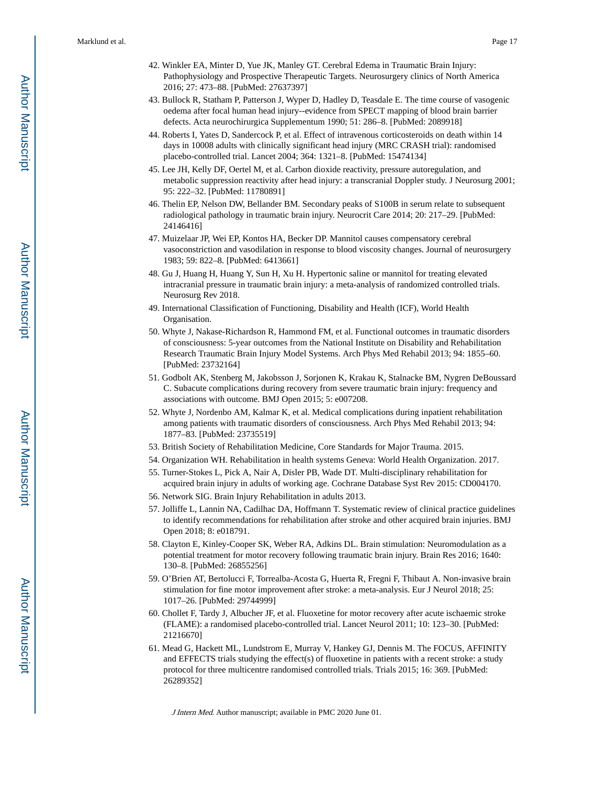- 42. Winkler EA, Minter D, Yue JK, Manley GT. Cerebral Edema in Traumatic Brain Injury: Pathophysiology and Prospective Therapeutic Targets. Neurosurgery clinics of North America 2016; 27: 473–88. [PubMed: 27637397]
- 43. Bullock R, Statham P, Patterson J, Wyper D, Hadley D, Teasdale E. The time course of vasogenic oedema after focal human head injury--evidence from SPECT mapping of blood brain barrier defects. Acta neurochirurgica Supplementum 1990; 51: 286–8. [PubMed: 2089918]
- 44. Roberts I, Yates D, Sandercock P, et al. Effect of intravenous corticosteroids on death within 14 days in 10008 adults with clinically significant head injury (MRC CRASH trial): randomised placebo-controlled trial. Lancet 2004; 364: 1321–8. [PubMed: 15474134]
- 45. Lee JH, Kelly DF, Oertel M, et al. Carbon dioxide reactivity, pressure autoregulation, and metabolic suppression reactivity after head injury: a transcranial Doppler study. J Neurosurg 2001; 95: 222–32. [PubMed: 11780891]
- 46. Thelin EP, Nelson DW, Bellander BM. Secondary peaks of S100B in serum relate to subsequent radiological pathology in traumatic brain injury. Neurocrit Care 2014; 20: 217–29. [PubMed: 24146416]
- 47. Muizelaar JP, Wei EP, Kontos HA, Becker DP. Mannitol causes compensatory cerebral vasoconstriction and vasodilation in response to blood viscosity changes. Journal of neurosurgery 1983; 59: 822–8. [PubMed: 6413661]
- 48. Gu J, Huang H, Huang Y, Sun H, Xu H. Hypertonic saline or mannitol for treating elevated intracranial pressure in traumatic brain injury: a meta-analysis of randomized controlled trials. Neurosurg Rev 2018.
- 49. International Classification of Functioning, Disability and Health (ICF), World Health Organisation.
- 50. Whyte J, Nakase-Richardson R, Hammond FM, et al. Functional outcomes in traumatic disorders of consciousness: 5-year outcomes from the National Institute on Disability and Rehabilitation Research Traumatic Brain Injury Model Systems. Arch Phys Med Rehabil 2013; 94: 1855–60. [PubMed: 23732164]
- 51. Godbolt AK, Stenberg M, Jakobsson J, Sorjonen K, Krakau K, Stalnacke BM, Nygren DeBoussard C. Subacute complications during recovery from severe traumatic brain injury: frequency and associations with outcome. BMJ Open 2015; 5: e007208.
- 52. Whyte J, Nordenbo AM, Kalmar K, et al. Medical complications during inpatient rehabilitation among patients with traumatic disorders of consciousness. Arch Phys Med Rehabil 2013; 94: 1877–83. [PubMed: 23735519]
- 53. British Society of Rehabilitation Medicine, Core Standards for Major Trauma. 2015.
- 54. Organization WH. Rehabilitation in health systems Geneva: World Health Organization. 2017.
- 55. Turner-Stokes L, Pick A, Nair A, Disler PB, Wade DT. Multi-disciplinary rehabilitation for acquired brain injury in adults of working age. Cochrane Database Syst Rev 2015: CD004170.
- 56. Network SIG. Brain Injury Rehabilitation in adults 2013.
- 57. Jolliffe L, Lannin NA, Cadilhac DA, Hoffmann T. Systematic review of clinical practice guidelines to identify recommendations for rehabilitation after stroke and other acquired brain injuries. BMJ Open 2018; 8: e018791.
- 58. Clayton E, Kinley-Cooper SK, Weber RA, Adkins DL. Brain stimulation: Neuromodulation as a potential treatment for motor recovery following traumatic brain injury. Brain Res 2016; 1640: 130–8. [PubMed: 26855256]
- 59. O'Brien AT, Bertolucci F, Torrealba-Acosta G, Huerta R, Fregni F, Thibaut A. Non-invasive brain stimulation for fine motor improvement after stroke: a meta-analysis. Eur J Neurol 2018; 25: 1017–26. [PubMed: 29744999]
- 60. Chollet F, Tardy J, Albucher JF, et al. Fluoxetine for motor recovery after acute ischaemic stroke (FLAME): a randomised placebo-controlled trial. Lancet Neurol 2011; 10: 123–30. [PubMed: 21216670]
- 61. Mead G, Hackett ML, Lundstrom E, Murray V, Hankey GJ, Dennis M. The FOCUS, AFFINITY and EFFECTS trials studying the effect(s) of fluoxetine in patients with a recent stroke: a study protocol for three multicentre randomised controlled trials. Trials 2015; 16: 369. [PubMed: 26289352]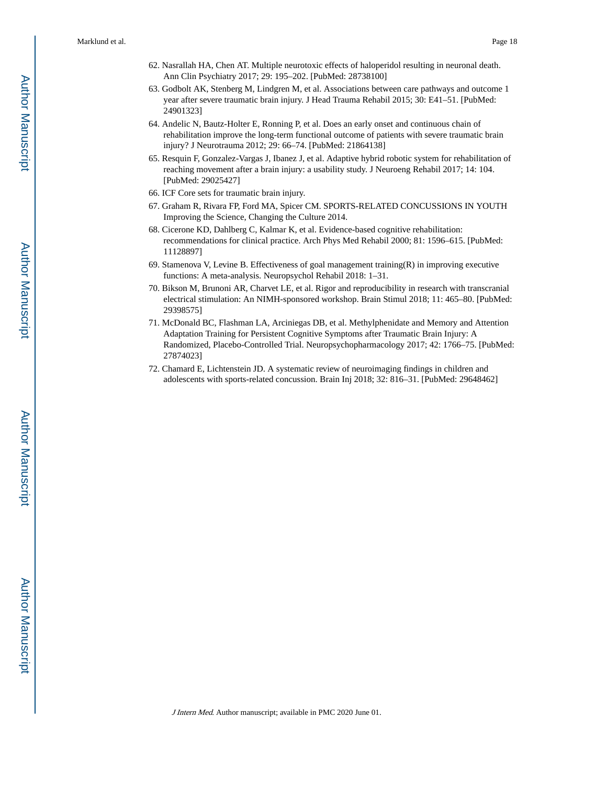- 62. Nasrallah HA, Chen AT. Multiple neurotoxic effects of haloperidol resulting in neuronal death. Ann Clin Psychiatry 2017; 29: 195–202. [PubMed: 28738100]
- 63. Godbolt AK, Stenberg M, Lindgren M, et al. Associations between care pathways and outcome 1 year after severe traumatic brain injury. J Head Trauma Rehabil 2015; 30: E41–51. [PubMed: 24901323]
- 64. Andelic N, Bautz-Holter E, Ronning P, et al. Does an early onset and continuous chain of rehabilitation improve the long-term functional outcome of patients with severe traumatic brain injury? J Neurotrauma 2012; 29: 66–74. [PubMed: 21864138]
- 65. Resquin F, Gonzalez-Vargas J, Ibanez J, et al. Adaptive hybrid robotic system for rehabilitation of reaching movement after a brain injury: a usability study. J Neuroeng Rehabil 2017; 14: 104. [PubMed: 29025427]
- 66. ICF Core sets for traumatic brain injury.
- 67. Graham R, Rivara FP, Ford MA, Spicer CM. SPORTS-RELATED CONCUSSIONS IN YOUTH Improving the Science, Changing the Culture 2014.
- 68. Cicerone KD, Dahlberg C, Kalmar K, et al. Evidence-based cognitive rehabilitation: recommendations for clinical practice. Arch Phys Med Rehabil 2000; 81: 1596–615. [PubMed: 11128897]
- 69. Stamenova V, Levine B. Effectiveness of goal management training(R) in improving executive functions: A meta-analysis. Neuropsychol Rehabil 2018: 1–31.
- 70. Bikson M, Brunoni AR, Charvet LE, et al. Rigor and reproducibility in research with transcranial electrical stimulation: An NIMH-sponsored workshop. Brain Stimul 2018; 11: 465–80. [PubMed: 29398575]
- 71. McDonald BC, Flashman LA, Arciniegas DB, et al. Methylphenidate and Memory and Attention Adaptation Training for Persistent Cognitive Symptoms after Traumatic Brain Injury: A Randomized, Placebo-Controlled Trial. Neuropsychopharmacology 2017; 42: 1766–75. [PubMed: 27874023]
- 72. Chamard E, Lichtenstein JD. A systematic review of neuroimaging findings in children and adolescents with sports-related concussion. Brain Inj 2018; 32: 816–31. [PubMed: 29648462]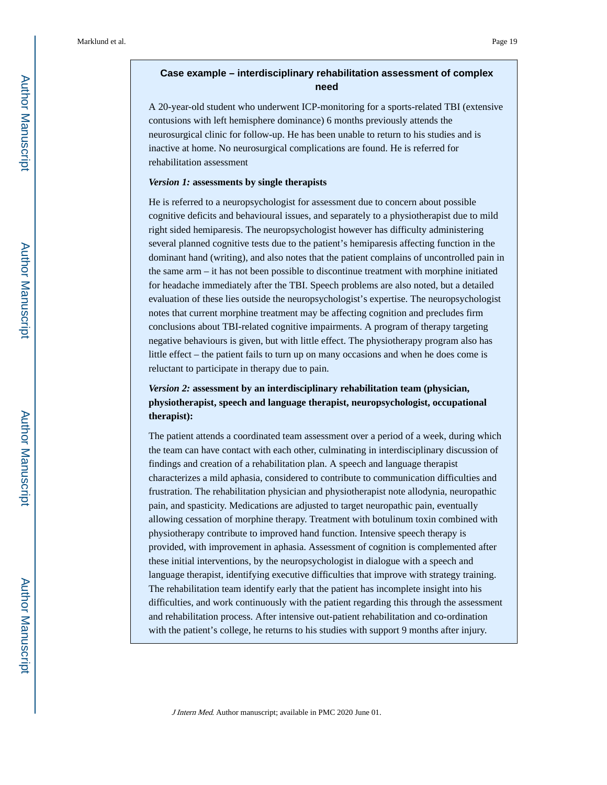## **Case example – interdisciplinary rehabilitation assessment of complex need**

A 20-year-old student who underwent ICP-monitoring for a sports-related TBI (extensive contusions with left hemisphere dominance) 6 months previously attends the neurosurgical clinic for follow-up. He has been unable to return to his studies and is inactive at home. No neurosurgical complications are found. He is referred for rehabilitation assessment

#### *Version 1:* **assessments by single therapists**

He is referred to a neuropsychologist for assessment due to concern about possible cognitive deficits and behavioural issues, and separately to a physiotherapist due to mild right sided hemiparesis. The neuropsychologist however has difficulty administering several planned cognitive tests due to the patient's hemiparesis affecting function in the dominant hand (writing), and also notes that the patient complains of uncontrolled pain in the same arm – it has not been possible to discontinue treatment with morphine initiated for headache immediately after the TBI. Speech problems are also noted, but a detailed evaluation of these lies outside the neuropsychologist's expertise. The neuropsychologist notes that current morphine treatment may be affecting cognition and precludes firm conclusions about TBI-related cognitive impairments. A program of therapy targeting negative behaviours is given, but with little effect. The physiotherapy program also has little effect – the patient fails to turn up on many occasions and when he does come is reluctant to participate in therapy due to pain.

## *Version 2:* **assessment by an interdisciplinary rehabilitation team (physician, physiotherapist, speech and language therapist, neuropsychologist, occupational therapist):**

The patient attends a coordinated team assessment over a period of a week, during which the team can have contact with each other, culminating in interdisciplinary discussion of findings and creation of a rehabilitation plan. A speech and language therapist characterizes a mild aphasia, considered to contribute to communication difficulties and frustration. The rehabilitation physician and physiotherapist note allodynia, neuropathic pain, and spasticity. Medications are adjusted to target neuropathic pain, eventually allowing cessation of morphine therapy. Treatment with botulinum toxin combined with physiotherapy contribute to improved hand function. Intensive speech therapy is provided, with improvement in aphasia. Assessment of cognition is complemented after these initial interventions, by the neuropsychologist in dialogue with a speech and language therapist, identifying executive difficulties that improve with strategy training. The rehabilitation team identify early that the patient has incomplete insight into his difficulties, and work continuously with the patient regarding this through the assessment and rehabilitation process. After intensive out-patient rehabilitation and co-ordination with the patient's college, he returns to his studies with support 9 months after injury.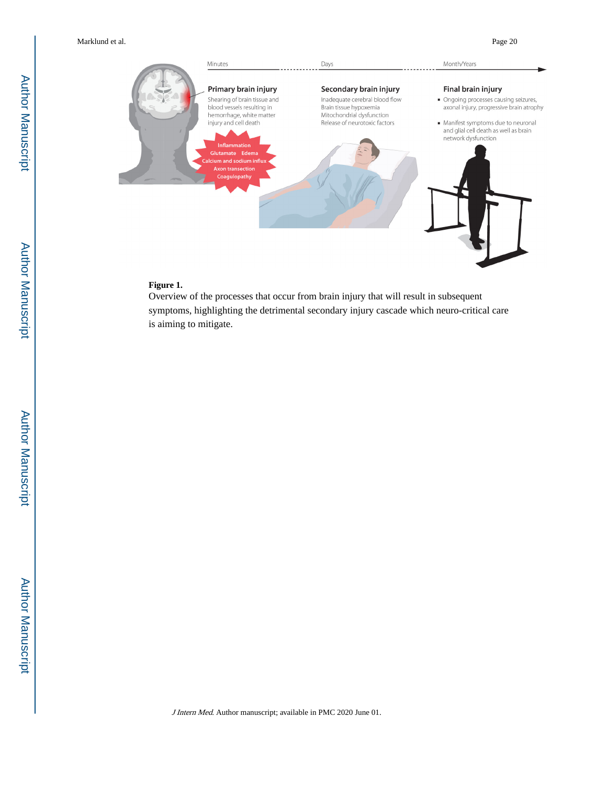

## **Figure 1.**

Overview of the processes that occur from brain injury that will result in subsequent symptoms, highlighting the detrimental secondary injury cascade which neuro-critical care is aiming to mitigate.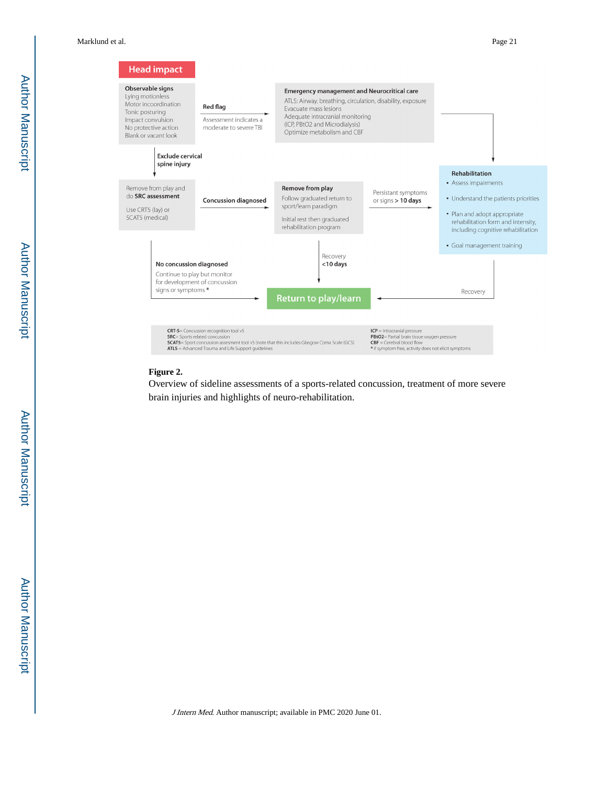

#### **Figure 2.**

Overview of sideline assessments of a sports-related concussion, treatment of more severe brain injuries and highlights of neuro-rehabilitation.

Author Manuscript

Author Manuscript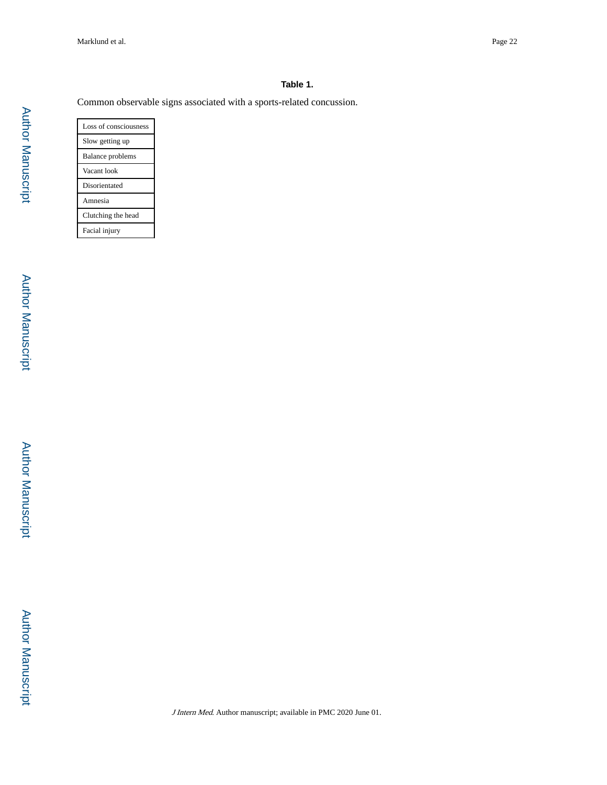## **Table 1.**

## Common observable signs associated with a sports-related concussion.

| Loss of consciousness   |
|-------------------------|
| Slow getting up         |
| <b>Balance</b> problems |
| Vacant look             |
| Disorientated           |
| Amnesia                 |
| Clutching the head      |
| Facial injury           |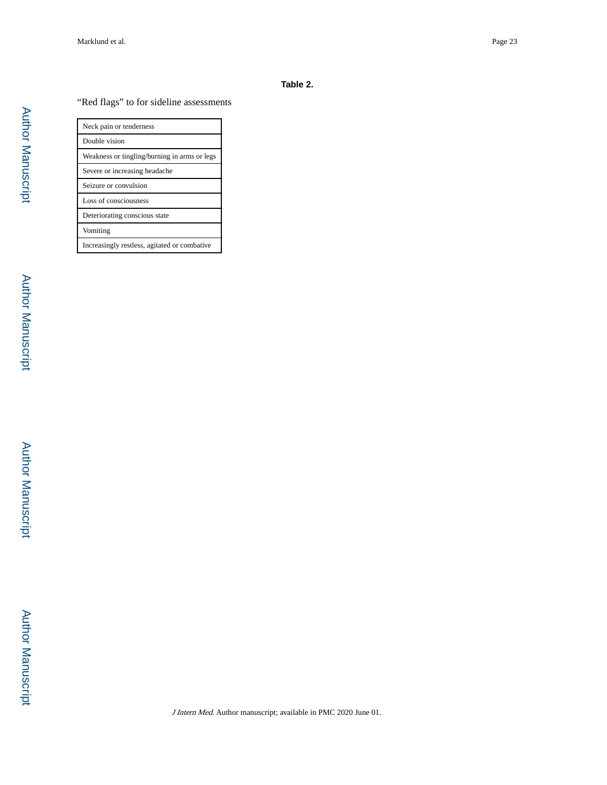## **Table 2.**

## "Red flags" to for sideline assessments

| Neck pain or tenderness                       |
|-----------------------------------------------|
| Double vision                                 |
| Weakness or tingling/burning in arms or legs  |
| Severe or increasing headache                 |
| Seizure or convulsion                         |
| Loss of consciousness                         |
| Deteriorating conscious state                 |
| Vomiting                                      |
| Increasingly restless, agitated or combative. |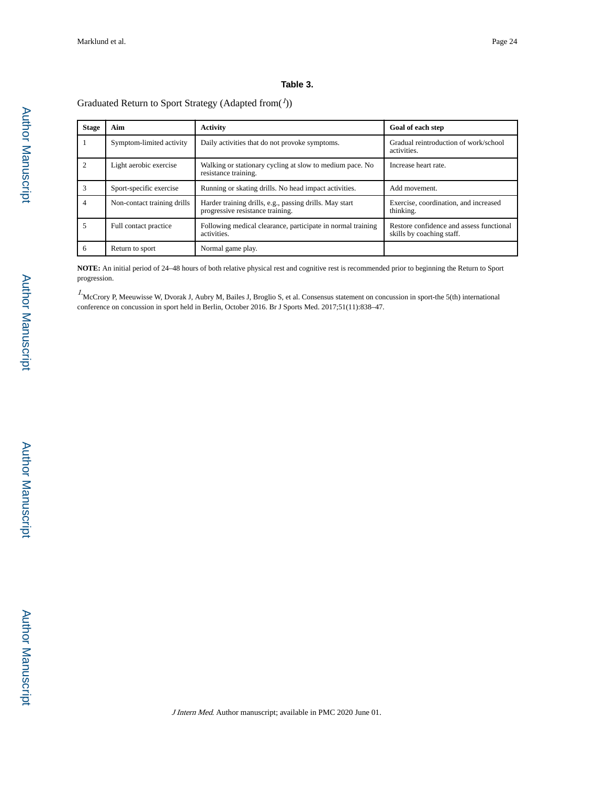## **Table 3.**

#### Graduated Return to Sport Strategy (Adapted from $(1)$ )

| <b>Stage</b>   | Aim                         | <b>Activity</b>                                                                             | Goal of each step                                                     |
|----------------|-----------------------------|---------------------------------------------------------------------------------------------|-----------------------------------------------------------------------|
|                | Symptom-limited activity    | Daily activities that do not provoke symptoms.                                              | Gradual reintroduction of work/school<br>activities.                  |
| $\overline{2}$ | Light aerobic exercise      | Walking or stationary cycling at slow to medium pace. No<br>resistance training.            | Increase heart rate.                                                  |
| $\mathcal{R}$  | Sport-specific exercise     | Running or skating drills. No head impact activities.                                       | Add movement.                                                         |
| $\overline{4}$ | Non-contact training drills | Harder training drills, e.g., passing drills. May start<br>progressive resistance training. | Exercise, coordination, and increased<br>thinking.                    |
|                | Full contact practice       | Following medical clearance, participate in normal training<br>activities.                  | Restore confidence and assess functional<br>skills by coaching staff. |
| 6              | Return to sport             | Normal game play.                                                                           |                                                                       |

**NOTE:** An initial period of 24–48 hours of both relative physical rest and cognitive rest is recommended prior to beginning the Return to Sport progression.

<sup>1</sup>. McCrory P, Meeuwisse W, Dvorak J, Aubry M, Bailes J, Broglio S, et al. Consensus statement on concussion in sport-the 5(th) international conference on concussion in sport held in Berlin, October 2016. Br J Sports Med. 2017;51(11):838–47.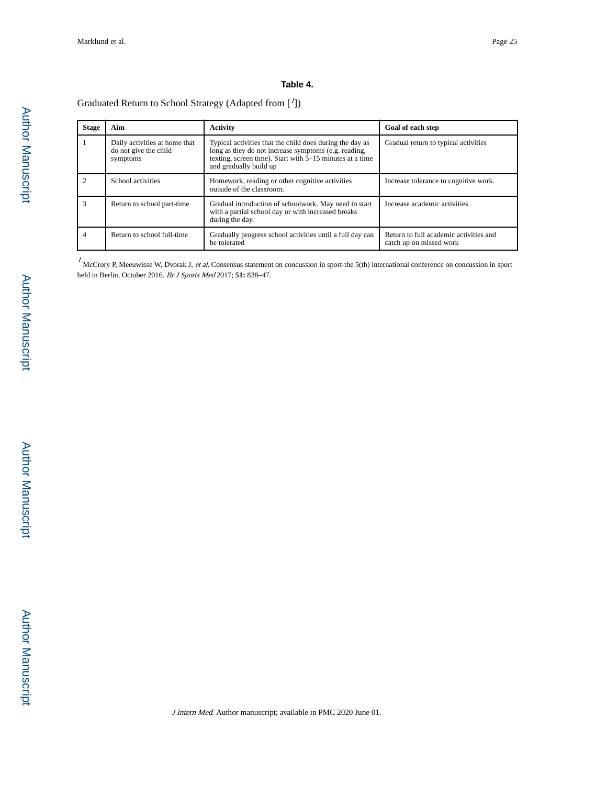### **Table 4.**

#### Graduated Return to School Strategy (Adapted from  $\binom{l}{l}$

| <b>Stage</b> | Aim                                                                | <b>Activity</b>                                                                                                                                                                                        | Goal of each step                                                 |
|--------------|--------------------------------------------------------------------|--------------------------------------------------------------------------------------------------------------------------------------------------------------------------------------------------------|-------------------------------------------------------------------|
|              | Daily activities at home that<br>do not give the child<br>symptoms | Typical activities that the child does during the day as<br>long as they do not increase symptoms (e.g. reading,<br>texting, screen time). Start with 5–15 minutes at a time<br>and gradually build up | Gradual return to typical activities                              |
|              | School activities                                                  | Homework, reading or other cognitive activities<br>outside of the classroom.                                                                                                                           | Increase tolerance to cognitive work.                             |
|              | Return to school part-time                                         | Gradual introduction of schoolwork. May need to start<br>with a partial school day or with increased breaks<br>during the day.                                                                         | Increase academic activities                                      |
| 4            | Return to school full-time                                         | Gradually progress school activities until a full day can<br>be tolerated                                                                                                                              | Return to full academic activities and<br>catch up on missed work |

 $1.$  McCrory P, Meeuwisse W, Dvorak J, et al. Consensus statement on concussion in sport-the 5(th) international conference on concussion in sport held in Berlin, October 2016. Br J Sports Med 2017; **51:** 838–47.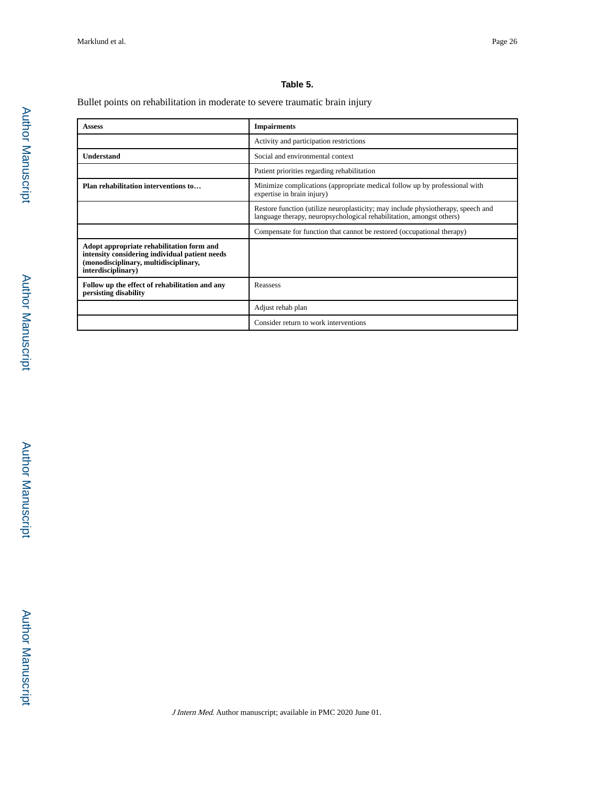## **Table 5.**

Bullet points on rehabilitation in moderate to severe traumatic brain injury

| Assess                                                                                                                                                     | <b>Impairments</b>                                                                                                                                       |
|------------------------------------------------------------------------------------------------------------------------------------------------------------|----------------------------------------------------------------------------------------------------------------------------------------------------------|
|                                                                                                                                                            | Activity and participation restrictions                                                                                                                  |
| <b>Understand</b>                                                                                                                                          | Social and environmental context                                                                                                                         |
|                                                                                                                                                            | Patient priorities regarding rehabilitation                                                                                                              |
| Plan rehabilitation interventions to                                                                                                                       | Minimize complications (appropriate medical follow up by professional with<br>expertise in brain injury)                                                 |
|                                                                                                                                                            | Restore function (utilize neuroplasticity; may include physiotherapy, speech and<br>language therapy, neuropsychological rehabilitation, amongst others) |
|                                                                                                                                                            | Compensate for function that cannot be restored (occupational therapy)                                                                                   |
| Adopt appropriate rehabilitation form and<br>intensity considering individual patient needs<br>(monodisciplinary, multidisciplinary,<br>interdisciplinary) |                                                                                                                                                          |
| Follow up the effect of rehabilitation and any<br>persisting disability                                                                                    | Reassess                                                                                                                                                 |
|                                                                                                                                                            | Adjust rehab plan                                                                                                                                        |
|                                                                                                                                                            | Consider return to work interventions                                                                                                                    |